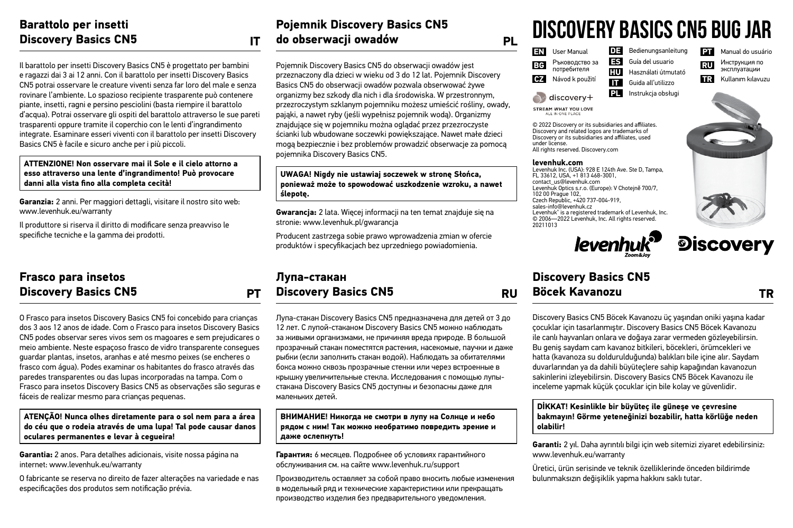### **Barattolo per insetti Discovery Basics CN5 IT**

Il barattolo per insetti Discovery Basics CN5 è progettato per bambini e ragazzi dai 3 ai 12 anni. Con il barattolo per insetti Discovery Basics CN5 potrai osservare le creature viventi senza far loro del male e senza rovinare l'ambiente. Lo spazioso recipiente trasparente può contenere piante, insetti, ragni e persino pesciolini (basta riempire il barattolo d'acqua). Potrai osservare gli ospiti del barattolo attraverso le sue pareti trasparenti oppure tramite il coperchio con le lenti d'ingrandimento integrate. Esaminare esseri viventi con il barattolo per insetti Discovery Basics CN5 è facile e sicuro anche per i più piccoli.

### **ATTENZIONE! Non osservare mai il Sole e il cielo attorno a esso attraverso una lente d'ingrandimento! Può provocare danni alla vista fino alla completa cecità!**

**Garanzia:** 2 anni. Per maggiori dettagli, visitare il nostro sito web: www.levenhuk.eu/warranty

Il produttore si riserva il diritto di modificare senza preavviso le specifiche tecniche e la gamma dei prodotti.

## **Frasco para insetos Discovery Basics CN5 PT**

O Frasco para insetos Discovery Basics CN5 foi concebido para crianças dos 3 aos 12 anos de idade. Com o Frasco para insetos Discovery Basics CN5 podes observar seres vivos sem os magoares e sem prejudicares o meio ambiente. Neste espaçoso frasco de vidro transparente consegues guardar plantas, insetos, aranhas e até mesmo peixes (se encheres o frasco com água). Podes examinar os habitantes do frasco através das paredes transparentes ou das lupas incorporadas na tampa. Com o Frasco para insetos Discovery Basics CN5 as observações são seguras e fáceis de realizar mesmo para crianças pequenas.

### **ATENÇÃO! Nunca olhes diretamente para o sol nem para a área do céu que o rodeia através de uma lupa! Tal pode causar danos oculares permanentes e levar à cegueira!**

**Garantia:** 2 anos. Para detalhes adicionais, visite nossa página na internet: www.levenhuk.eu/warranty

O fabricante se reserva no direito de fazer alterações na variedade e nas especificações dos produtos sem notificação prévia.

### **Pojemnik Discovery Basics CN5 do obserwacji owadów PL**

Pojemnik Discovery Basics CN5 do obserwacji owadów jest przeznaczony dla dzieci w wieku od 3 do 12 lat. Pojemnik Discovery Basics CN5 do obserwacji owadów pozwala obserwować żywe organizmy bez szkody dla nich i dla środowiska. W przestronnym, przezroczystym szklanym pojemniku możesz umieścić rośliny, owady, pająki, a nawet ryby (jeśli wypełnisz pojemnik wodą). Organizmy znajdujące się w pojemniku można oglądać przez przezroczyste ścianki lub wbudowane soczewki powiększające. Nawet małe dzieci mogą bezpiecznie i bez problemów prowadzić obserwacje za pomocą pojemnika Discovery Basics CN5.

### **UWAGA! Nigdy nie ustawiaj soczewek w stronę Słońca, ponieważ może to spowodować uszkodzenie wzroku, a nawet ślepotę.**

**Gwarancja:** 2 lata. Więcej informacji na ten temat znajduje się na stronie: www.levenhuk.pl/gwarancja

Producent zastrzega sobie prawo wprowadzenia zmian w ofercie produktów i specyfikacjach bez uprzedniego powiadomienia.

## **Лупа-стакан Discovery Basics CN5 RU**

Лупа-стакан Discovery Basics CN5 предназначена для детей от 3 до 12 лет. С лупой-стаканом Discovery Basics CN5 можно наблюдать за живыми организмами, не причиняя вреда природе. В большой прозрачный стакан поместятся растения, насекомые, паучки и даже рыбки (если заполнить стакан водой). Наблюдать за обитателями бокса можно сквозь прозрачные стенки или через встроенные в крышку увеличительные стекла. Исследования с помощью лупыстакана Discovery Basics CN5 доступны и безопасны даже для маленьких детей.

### **ВНИМАНИЕ! Никогда не смотри в лупу на Солнце и небо рядом с ним! Так можно необратимо повредить зрение и даже ослепнуть!**

**Гарантия:** 6 месяцев. Подробнее об условиях гарантийного обслуживания см. на сайте www.levenhuk.ru/support

Производитель оставляет за собой право вносить любые изменения в модельный ряд и технические характеристики или прекращать производство изделия без предварительного уведомления.

## **Discovery Basics CN5 Bug JAR**

| EN        | User Manual                   | DE. | Bedienungsanleitung | PT. | Manual do usuário |
|-----------|-------------------------------|-----|---------------------|-----|-------------------|
| BG        | Ръководство за<br>потребителя | ES. | Guía del usuario    | RU  | Инструкция по     |
|           |                               | нu  | Használati útmutató |     | эксплуатации      |
| <b>CZ</b> | Návod k použití               | П   | Guida all'utilizzo  | TR. | Kullanım kılavuzu |
|           | discovery+                    | PL. | Instrukcia obsługi  |     |                   |

STREAM WHAT YOU LOVE ALL IN ONE OL ACT

© 2022 Discovery or its subsidiaries and affiliates. Discovery and related logos are trademarks of Discovery or its subsidiaries and affiliates, used under license. All rights reserved. Discovery.com

#### **levenhuk.com**

Levenhuk Inc. (USA): 928 E 124th Ave. Ste D, Tampa, FL 33612, USA, +1 813 468-3001, contact\_us@levenhuk.com Levenhuk Optics s.r.o. (Europe): V Chotejně 700/7, 102 00 Prague 102, Czech Republic, +420 737-004-919, sales-info@levenhuk.cz Levenhuk® is a registered trademark of Levenhuk, Inc. © 2006—2022 Levenhuk, Inc. All rights reserved. 20211013



# **Discovery**

## **Discovery Basics CN5 Böcek Kavanozu TR**

Discovery Basics CN5 Böcek Kavanozu üç yaşından oniki yaşına kadar çocuklar için tasarlanmıştır. Discovery Basics CN5 Böcek Kavanozu ile canlı hayvanları onlara ve doğaya zarar vermeden gözleyebilirsin. Bu geniş saydam cam kavanoz bitkileri, böcekleri, örümcekleri ve hatta (kavanoza su doldurulduğunda) balıkları bile içine alır. Saydam duvarlarından ya da dahili büyüteçlere sahip kapağından kavanozun sakinlerini izleyebilirsin. Discovery Basics CN5 Böcek Kavanozu ile inceleme yapmak küçük çocuklar için bile kolay ve güvenlidir.

### **DİKKAT! Kesinlikle bir büyüteç ile güneşe ve çevresine bakmayın! Görme yeteneğinizi bozabilir, hatta körlüğe neden olabilir!**

**Garanti:** 2 yıl. Daha ayrıntılı bilgi için web sitemizi ziyaret edebilirsiniz: www.levenhuk.eu/warranty

Üretici, ürün serisinde ve teknik özelliklerinde önceden bildirimde bulunmaksızın değişiklik yapma hakkını saklı tutar.